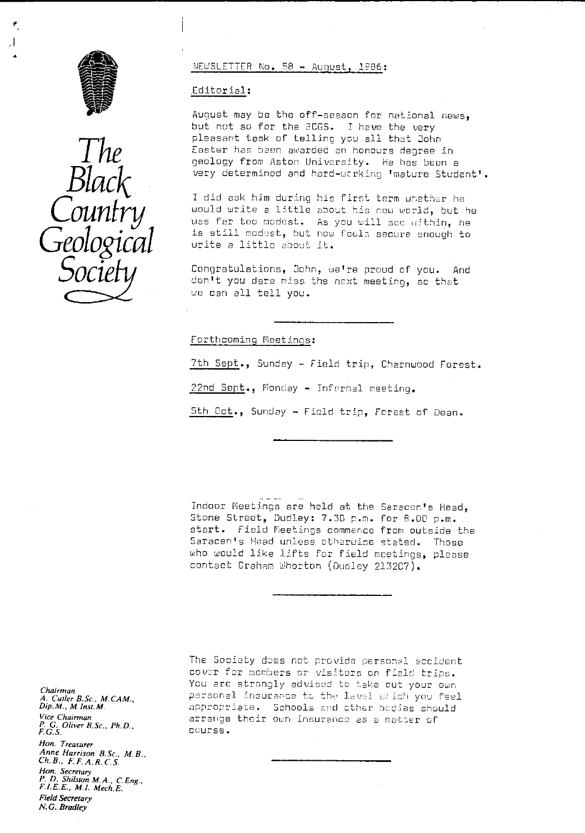

Д



#### NEWSLETTER No. 58 - August, 1986:

### Editorial:

August may be the off-season for national news, but not so for the aCGS. I have the very pleasant task of telling you all that John Easter has been awarded an honours degree in geology from Aston University. He has been a very determined and hard-working 'mature Student'.

I did ask him during his first term whether he would write a little about his now world, but he was far too modest. As you will see within, he<br>is still modest, but now feels se**c**ure enough to write a littlo about it.

Congratulations, Cohn, we're proud of you. And don't you dare miss the next meeting, so that we can all tell you.

### Forthcoming Footings:

7th Sept., Sunday - Field trip, Charnwood Forest. 22nd Sept., Monday - Informal meeting. 5th Oct ., Sunday - Field trip, Forest of Dean.

Indoor Meetings are hold at the Saracen's Head, Stone Street, Dudley: 7.30 p.m. for 8.00 p.m. start. Field Meetings commence from outside the Saracen's Head unless otheruice stated. Those who would like lifts for field meetings, please contact Grehem 'Uhorton (Dudley 215207).

The Socioty does not provide personal accident cover for members or visitors on fiald trips. You are strongly advised to take out your own personal insurance to the lavel which you feel appropriate. Schools and other bodies should arrange their own insurance as a matter of course.

*Chairman A. Cutler B.Sc., M. CAM., Dip. M. , M. Inst. M.* **Vice Chairman** *P. G. Oliver B.Sc., Ph.D. F.G.S. Hon. Treasurer Anne Harrison B.Sc., M. B. Ch. B., F\_ F. A.R. C. S. Hon. Secretary P. D. Shilston M.A., C.Eng., F.I.E.E., M,1. Mech.E. Field Secretary N.G. Bradley*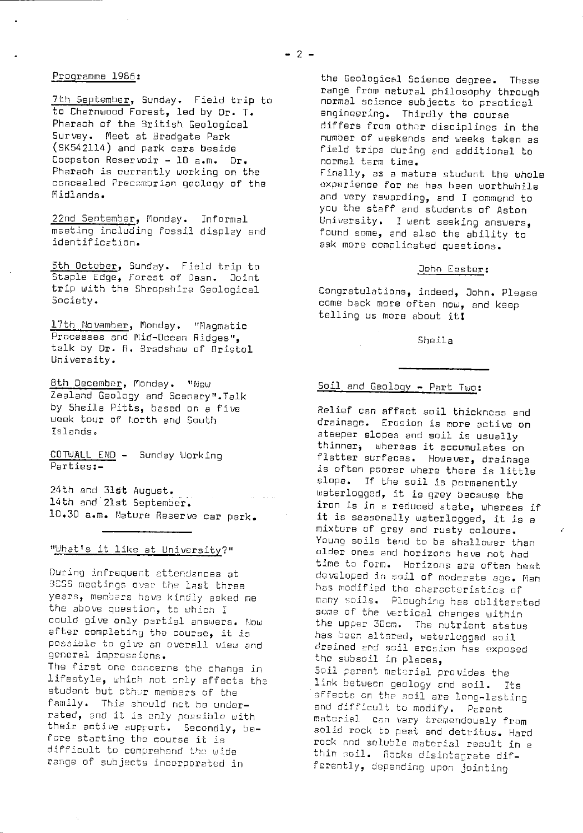### Programme 1985 :

7th September, Sunday. Field trip to to Chernwood Forest, led by Dr. T. Pharaoh of the 3ritish. Geological Survey. Meet at Bradgate Park (SK542114) and park cars beside Coopston Reservoir - 10 a.m. Dr. Pharaoh is currently working **on** the concealed Precambrian geology of the Midlands.

22nd September, Monday. Informal meeting including Fossil display and identification.

5th October, Sunday. Field trip to Staple Edge, Forest of Dean. Joint trip with the Shropshire Geological Society.

17th November, Monday. "Magmatic Processes and Mid-Ocean Ridges", talk by Dr. R. Bradshaw of Bristol University.

8th December, Monday. "New Zealand Geology and Scenery".Talk by Sheila Pitts, based on a five week tour of North and South Islands.

COTWALL END - Sunday Working Parties:-

24th and 316t August. 14th and 21st September. 10.30 a.m. Nature Reserve car park.

"What's it like at University?"

During infrequent attendances at SCGS meetings over the last three years, members hove kindly asked me the above question, to ehich I could give only pertiel answers. Now after completing the course, it is pessiola to give an overall view and general impressions.

The first ono concerns the change in lifestyle, which not only affects the student but cther members of the family. This should net be underrated, and it is only possible with their active support. Secondly, before starting the course it is difficult to comprehend the wide range of subjects incorporatud in

the Geological Science degree. These range from natural philosophy through normal science subjects to practical engineering. Thirdly the course differs from other disciplines in the number of weekends and weeks taken as field trips during and additional to normal term time. Finally, as a mature student the whole experience for me has been worthwhile and very rewarding, and I commend to you the staff and students of Aston University. I went seeking answers, found some, end also the ability to ask more complicated questions.

### Oohn Easter :

Cenaratulations, indeed, John. Please come back more often now, and keep telling us more about it!

#### Sheila

## Soil and Geology - Part Two:

Relief can affect soil thickness and drainage. Erosion is more active on steeper slopes and soil is usually thinner, whereas it accumulates on flatter surfaces. However, drainage is often poorer where there is little slope. If the soil is permanently waterlogged, it is grey because the iron is in a reduced state, whereas if it is seasonally waterlogged, it is a mixture of grey and rusty colours. Young soils tend to be shallower than older ones and horizons have not had time to form. Horizons are often best developed in soil of moderate age. Man has modified the characteristics of many soils. Ploughing has obliterated some of the vertical changes within the upper 3Com. The nutrient status has been altered, waterlogged soil drained end soil aresion has exposed the subsoil in places, Soil <sup>p</sup> arent materiel provides the link between geology end soil. Its affects on the soil are long-lasting and difficult to modify. Parent material can vary tremendously from solid rock Lo peat and detritus. Hard rock and soluble material result in a thin soil. Rocks disintegrate differently, depending upon jointing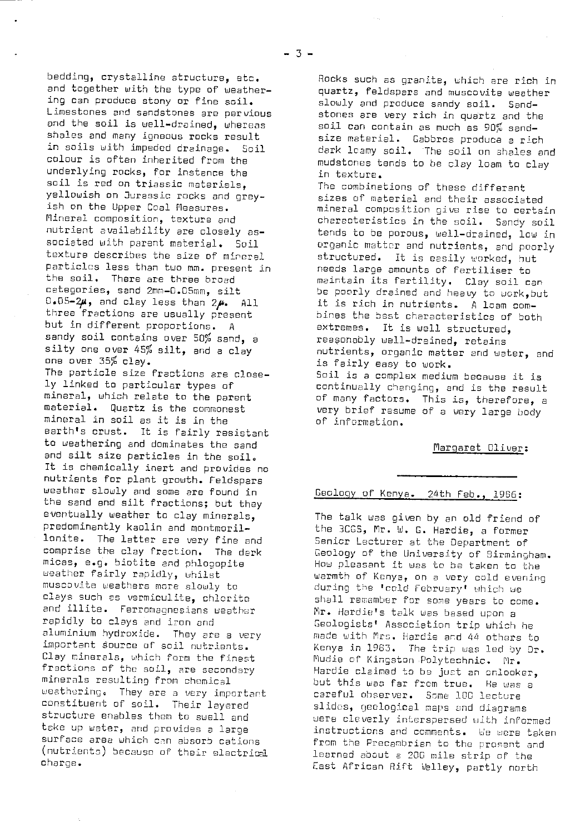bedding, crystalline structure, etc. and together with the type of weathering can produce stony or fine soil. Limestones and sandstones are pervious and the soil is well-drained, whereas shales and many igneous rocks result in sails with impeded drainage. Soil colour is often inherited from the underlying rocks, for instance the soil is red on triassic materials, yellowish an Jurassic rocks and greyish on the Upper Coal Measures. Mineral composition, texture and nutrient availability are closely associated with parent material. Soil texture describes the size of mineral particles less than two mm. present in the soil. There are three broad categories, sand 2mm-D.CSmm, silt  $0.05-2\mu$ , and clay less than  $2\mu$ . All three fractions are usually present but in different proportions. A sandy soil contains over 50% sand, a silty one over 45% silt, and a clay one over 35% clay. The particle size fractions are closely linked to particular types of mineral, which relate to the parent material. Quartz is the commonest mineral in soil as it is in the earth's crust. It is fairly resistant to weathering and dominates the sand and silt size particles in the soil. It is chemically inert and provides no nutrients for plant growth. Feldspars weather slowly and some are found in the sand and silt fractions; but they eventually weather to clay minerals, predominantly kaolin and montmorillonite. The latter are very fine and comprise the clay fraction. The dark micas, e.g. biotite and phlogopite weather fairly rapidly, whilst muscovite weathers more slowly to clays such as vermiculite, chlorite and illite. Ferromagnesians weather rapidly to clays and iron and aluminium hydroxide. They are a very important source of soil nutrients. Clay minerals, which form the finest fractions of the soil, are secondary minerals resulting from chemical weathering. They are a very important constituent of soil. Their layered structure enables them to swell and take up water, and provides a large surface area which can absorb cations (nutrients) because of their electrical charge.

Rocks such as granite, which are rich in quartz, feldspars and muscovite weather slowly and produce sandy soil. Sandstones are very rich in quartz and the soil can contain as much as 90% sandsize material. Gabbros produce a rich dark loamy soil. The soil on shales and mudstcnes tends to be clay loam to clay in texture.

The combinations of these different sizes of material and their associated mineral composition give rise to certain characteristics in the soil. Sandy soil tends to be porous, well-drained, low in organic matter and nutrients, and poorly structured. It is easily worked, hut needs laroe amounts of fertiliser to maintain its fertility. Clay soil can be poorly drained and heavy to work, but it is rich in nutrients. A loam combines the best characteristics of both extremes. It is wall structured, reasonably well-drained, retains nutrients, organic matter and water, and is fairly easy to work. Soil is a complex medium because it is continually changing, and is the result of many factors. This is, therefore, a very brief resume of a very large body of information.

### Margaret Dliver:

# Geology of Kenya. 24th Feb., 1986:

The talk was given by an old friend of the 3CGS, Mr. W. G. Hardie, a former Senior Lecturer at the Department of Geology of the University of Sirmingham. How pleasant it was to be taken to the warmth of Kenya, on a very cold evening during the 'cold February' which we shall remember for some years to come. Mr. Hardie's talk was based upon a Geologists' Association trip which he made with Imrs. Hardie and 44 others to Kenya in 1903. The trip was led by Cr. Mudie of Kingston Polytechnic. Mr. Hardie claimed to be just an onlooker, but this was far from true. He was a careful observer. Some ICC lecture slides, geological maps and diagrams were cleverly interspersed with informed instructions and comments. Le were taken from the Precambrian to the prosent and learned about a 20G mile strip of the East African Rift Velley, partly north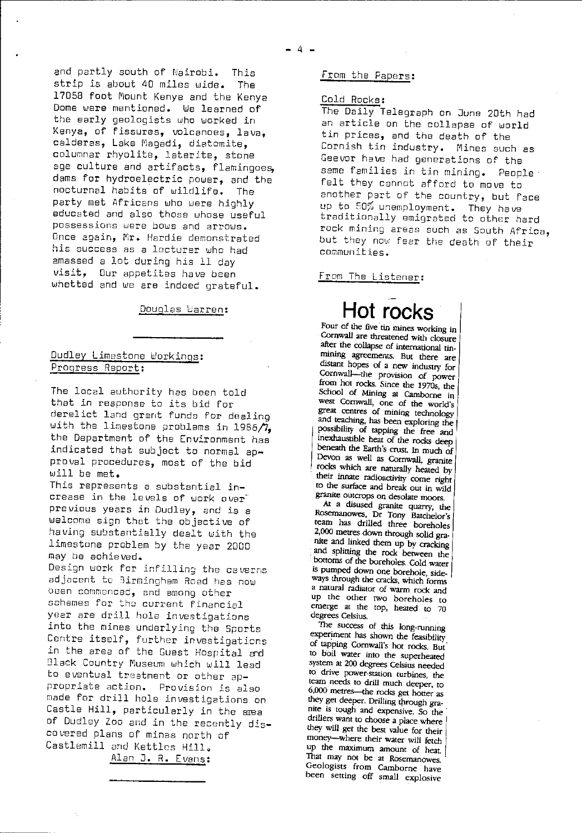and partly south of Nairobi. This strip is about 40 miles wide. The 17058 foot Mount Kenya and the Kenya Dome were mentioned. We learned of the early geologists who worked in Kenya, of fissures, volcanoes, lava, calderas, Lake Magadi, diatomite. columnar rhyolite, laterite, stone age culture and artifacts, flamingoes, dams for hydroelectric power, and the nocturnal habits of wildlife. The party met Africans who were highly educated and also those whose useful possessions were bows and arrows. Once again, Mr. Hardie demonstrated his success as a lacturer who had amassed a lot during his 11 day visit, Our appetites have been whetted and we are indeed grateful.

Douglas Warren:

## Dudley Limestone Workings: Progress Report:

The local authority has been told that in response to its bid for derelict land grant funds for dealing with the limestone problems in 1985/7, the Department of the Environment has indicated that subject to normal approval procedures, most of the bid will be met.

This represents a substantial increase in the levels of work over previous years in Dudley, and is a welcome sign that the objective of having substantially dealt with the limestone problem by the year 2000 may be achieved.

Design work for infilling the caverns adjacent to Birmingham Road has now Owen commenced, and among other schemes for the current financial year are drill hole investigations into the mines underlying the Sports Centre itself, further investigations in the area of the Guest Hospital and D1ack Country Museum which will lead to eventual treatment or other appropriate action. Provision is also made for drill hole investigations on Castle Hill, particularly in the area of Dudley Zoo and in the recently discovered plans of mines north of Castlemill and Kettles Hill,

Alan J. R. Evans:

## From the Papers:

### Cold Rocks :

The Daily Telegraph on June 20th had an article on the collapse of world tin prices, and the death of the Cornish tin industry. Mines such as Geevor have had generations of the same families in tin mining. People felt they cannot afford to move to another part of the country, but Pace up to 50% unemployment. They have traditionally emigrated to other hard rack mining areas such as South Africa, but they now fear the death of their communities.

#### From The Listener :



Four of the five tin mines working in Cornwall are threatened with closure after the collapse of international tin-Mining agreements. But there are distant hopes of a new industry for Cornwall--the provision of power from hot rocks. Since the 1970s, the School of Mining at Camborne in west Cornwall, one of the world's great centres of mining technology and teaching, has been exploring the possibility of tapping the free and nexhaustible heat of the rocks deep beneath the Earth's crust. In much of Devon as well as Cornwall, granite rocks which are naturally heated by their innate radioactivity come right to the surface and break out in wild granite outcrops on desolate moors.

At a disused granite quarry, the Rosemanowes, Dr Tony Batchelor's team has drilled three boreholes 2,000 metres down through solid granite and linked *them* up by cracking and splitting the rock between the bottoms of the boreholes. Cold water is Pumped down one borehole, sideways through the cracks, which forms a natural radiator of warm rock and up the other two boreholes to emerge at the top, heated to 70 degrees Celsius.

The success of this long-running experiment has shown the feasibility of tapping Cornwall's hot rocks. But to boil water into the superheated system at 200 degrees Celsius needed to drive power-station turbines, the team needs to drill much deeper, to 6,000 metres—the rocks get hotter as *they* get deeper. Drilling through granite is tough and expensive. So the drillers want to choose a place where they will get the best value for their money-where their water will fetch up the maximum amount of heat. That may not be at Rosemanowes. Geologists from Camborne have been setting off small explosive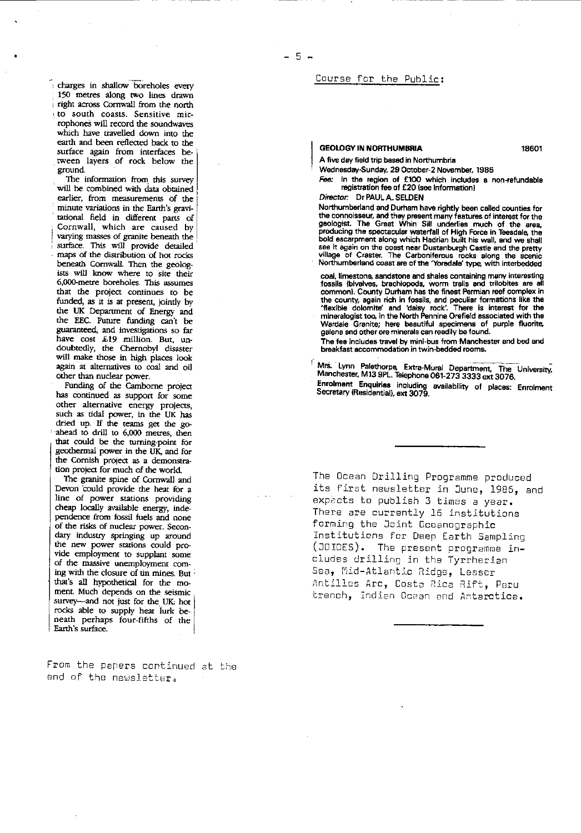i charges in shallow boreholes every 150 metres along two lines drawn right across Cornwall from the north to south coasts. Sensitive microphones will record the soundwaves which have travelled down into the earth and been reflected back to the surface again from interfaces between layers of rock below the ground.

The information from this survey will be combined with data obtained earlier, from measurements of the minute variations in the Earth's gravitational field in different parts of Cornwall, which are caused by varying masses of granite beneath the surface. This will provide detailed maps of the distribution of hot rocks beneath Cornwall. Then the geologists will know where to site their 6,000-metre boreholes. This assumes that the project continues to be funded, as it is at present, jointly by the UK Department of Energy and the EEC. Future funding can't be guaranteed, and investigations so far have cost *£19* million- But, undoubtedly, the Chernobyl disaster will make those in high places look again at alternatives to coal and oil other than nuclear power.

• Funding of the Camborne project has continued as support for some other alternative energy projects, such as tidal power, in the UK has dried up- if the teams get the goahead to drill to 6,000 metres, then that could be the turning-point for geothermal power in the UK, and for the Cornish project as a demonstration project for much of the world.

The granite spine of Cornwall and Devon "could provide the heat for a line of power stations providing cheap locally available energy, independence from fossil fuels and none of the risks of nuclear power. Secondary industry springing up around the new power stations could provide employment to supplant some of the massive unemployment coming with the closure of tin mines. But that's all hypothetical for the moment. Much depends on the seismic survey—and not just for the UK: hot rocks able to supply heat lurk beneath perhaps four-fifths of the Earth's surface.

From the papers continued at the end of the newsletter.

### Course for the Public:

#### **GEOLOGY IN NORTHUMBRIA 18601**

A five day field trip based in Northumbria

Wednesday-Sunday, 29 October-2 November, 1986

*Fee: In* the region of £100 which includes a non-refundable registration fee of £20 (see Information)

*Director.* Dr PAUL **A.** SE1DEN

Northumberland and Durham have rightly been called counties for the connoisseur, and they present many features of interest for the geologist. The Great Whin Sill underlies much of the area, producing the spectacular waterfall of High Force in Teesdale, the bold escarpment along which Hadrian built his wall, and we shall see it again on the coast near Dustanburgh Castle and the pretty village of Craster. The Carboniferous rocks along the scenic Northumberland coast are of the 'Yoredale' type, with interbedded

coal, limestone sandstone and shales containing many interesting fossils {bivalves, brachiopods, worm trails and trilobites are all common). County Durham has the finest Permian reef complex in the county, again rich in fossils, and peculiar formations like the 'flexible dolomite' and 'daisy rock'. There is interest for the mineralogist too, in the North Pennine Orefield associated with the Wardale Granite; here beautiful specimens of purple fluorite, galena and other ore minerals can readily be found.

The fee includes travel by mini-bus from Manchester and bed and breakfast accommodation in twin-bedded rooms.

Mrs. Lynn Palethorpe, Extra-Mural Department, The University, Manchester, M13 9PL. Telephone 061-273 3333 ext 3076. Enrolment Enquiries including availability of places: Enrolmen<br>Secretary(Residential), ext 3079.

The Ocean Drilling Programme produced its first newsletter in June, 1985, and expacts to publish 3 times a year. There are currently 16 institutions forming the Joint Oceanographic Institutions for Deep Earth Sampling (JUIDES). The presont programme includes drilling in the Tyrrherian Sea, Mid-Atlantic Ridge, Lesser Antilles Arc, Costa Rica Rift, Peru trench, Indian Ocean end Arterctice.